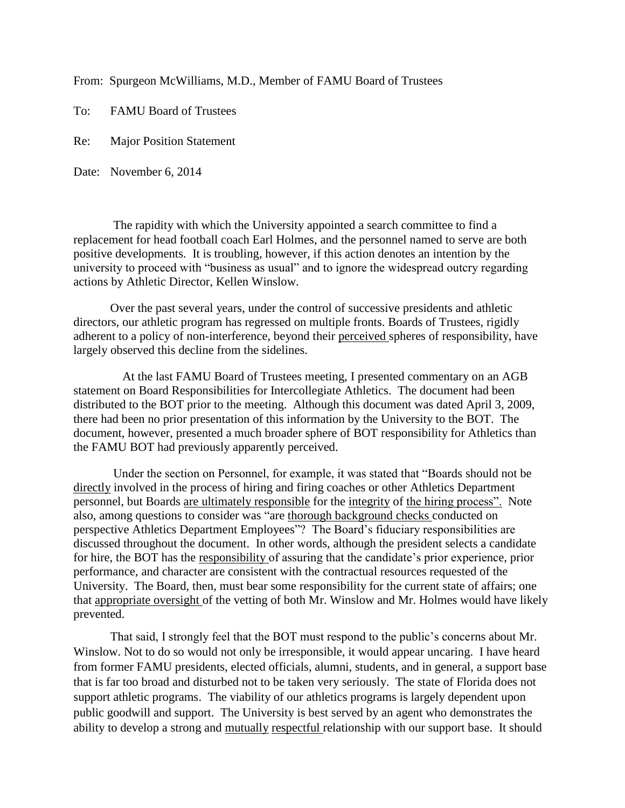From: Spurgeon McWilliams, M.D., Member of FAMU Board of Trustees

To: FAMU Board of Trustees

Re: Major Position Statement

Date: November 6, 2014

The rapidity with which the University appointed a search committee to find a replacement for head football coach Earl Holmes, and the personnel named to serve are both positive developments. It is troubling, however, if this action denotes an intention by the university to proceed with "business as usual" and to ignore the widespread outcry regarding actions by Athletic Director, Kellen Winslow.

 Over the past several years, under the control of successive presidents and athletic directors, our athletic program has regressed on multiple fronts. Boards of Trustees, rigidly adherent to a policy of non-interference, beyond their perceived spheres of responsibility, have largely observed this decline from the sidelines.

 At the last FAMU Board of Trustees meeting, I presented commentary on an AGB statement on Board Responsibilities for Intercollegiate Athletics. The document had been distributed to the BOT prior to the meeting. Although this document was dated April 3, 2009, there had been no prior presentation of this information by the University to the BOT. The document, however, presented a much broader sphere of BOT responsibility for Athletics than the FAMU BOT had previously apparently perceived.

 Under the section on Personnel, for example, it was stated that "Boards should not be directly involved in the process of hiring and firing coaches or other Athletics Department personnel, but Boards are ultimately responsible for the integrity of the hiring process". Note also, among questions to consider was "are thorough background checks conducted on perspective Athletics Department Employees"? The Board's fiduciary responsibilities are discussed throughout the document. In other words, although the president selects a candidate for hire, the BOT has the responsibility of assuring that the candidate's prior experience, prior performance, and character are consistent with the contractual resources requested of the University. The Board, then, must bear some responsibility for the current state of affairs; one that appropriate oversight of the vetting of both Mr. Winslow and Mr. Holmes would have likely prevented.

That said, I strongly feel that the BOT must respond to the public's concerns about Mr. Winslow. Not to do so would not only be irresponsible, it would appear uncaring. I have heard from former FAMU presidents, elected officials, alumni, students, and in general, a support base that is far too broad and disturbed not to be taken very seriously. The state of Florida does not support athletic programs. The viability of our athletics programs is largely dependent upon public goodwill and support. The University is best served by an agent who demonstrates the ability to develop a strong and mutually respectful relationship with our support base. It should